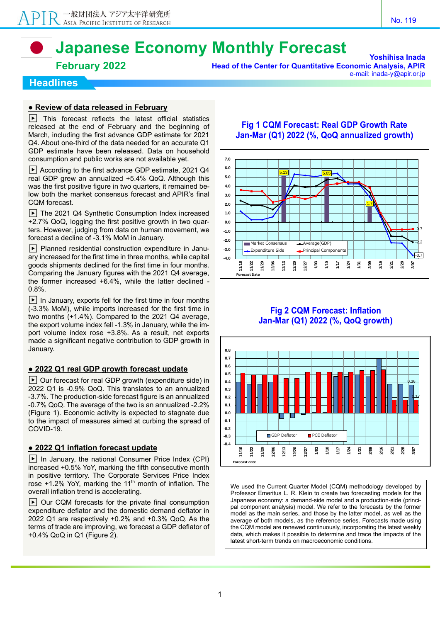**Yoshihisa Inada** 

# **Japanese Economy Monthly Forecast**

## **February 2022**

**Head of the Center for Quantitative Economic Analysis, APIR** e-mail: inada-y@apir.or.jp

# **Headlines**

#### **● Review of data released in February**

 $\boxed{\blacktriangleright}$  This forecast reflects the latest official statistics released at the end of February and the beginning of March, including the first advance GDP estimate for 2021 Q4. About one-third of the data needed for an accurate Q1 GDP estimate have been released. Data on household consumption and public works are not available yet.

▶ According to the first advance GDP estimate, 2021 Q4 real GDP grew an annualized +5.4% QoQ. Although this was the first positive figure in two quarters, it remained below both the market consensus forecast and APIR's final CQM forecast.

 $\blacktriangleright$  The 2021 Q4 Synthetic Consumption Index increased +2.7% QoQ, logging the first positive growth in two quarters. However, judging from data on human movement, we forecast a decline of -3.1% MoM in January.

 $\blacktriangleright$  Planned residential construction expenditure in January increased for the first time in three months, while capital goods shipments declined for the first time in four months. Comparing the January figures with the 2021 Q4 average, the former increased +6.4%, while the latter declined - 0.8%.

 $\left| \right\rangle$  In January, exports fell for the first time in four months (-3.3% MoM), while imports increased for the first time in two months (+1.4%). Compared to the 2021 Q4 average, the export volume index fell -1.3% in January, while the import volume index rose +3.8%. As a result, net exports made a significant negative contribution to GDP growth in January.

#### **● 2022 Q1 real GDP growth forecast update**

 $\blacktriangleright$  Our forecast for real GDP growth (expenditure side) in 2022 Q1 is -0.9% QoQ. This translates to an annualized -3.7%. The production-side forecast figure is an annualized -0.7% QoQ. The average of the two is an annualized -2.2% (Figure 1). Economic activity is expected to stagnate due to the impact of measures aimed at curbing the spread of COVID-19.

#### **● 2022 Q1 inflation forecast update**

 $\blacktriangleright$  In January, the national Consumer Price Index (CPI) increased +0.5% YoY, marking the fifth consecutive month in positive territory. The Corporate Services Price Index rose  $+1.2\%$  YoY, marking the 11<sup>th</sup> month of inflation. The overall inflation trend is accelerating.

 $\triangleright$  Our CQM forecasts for the private final consumption expenditure deflator and the domestic demand deflator in 2022 Q1 are respectively +0.2% and +0.3% QoQ. As the terms of trade are improving, we forecast a GDP deflator of +0.4% QoQ in Q1 (Figure 2).

#### **Fig 1 CQM Forecast: Real GDP Growth Rate Jan-Mar (Q1) 2022 (%, QoQ annualized growth)**



#### **Fig 2 CQM Forecast: Inflation Jan-Mar (Q1) 2022 (%, QoQ growth)**



We used the Current Quarter Model (CQM) methodology developed by Professor Emeritus L. R. Klein to create two forecasting models for the Japanese economy: a demand-side model and a production-side (principal component analysis) model. We refer to the forecasts by the former model as the main series, and those by the latter model, as well as the average of both models, as the reference series. Forecasts made using the CQM model are renewed continuously, incorporating the latest weekly data, which makes it possible to determine and trace the impacts of the latest short-term trends on macroeconomic conditions.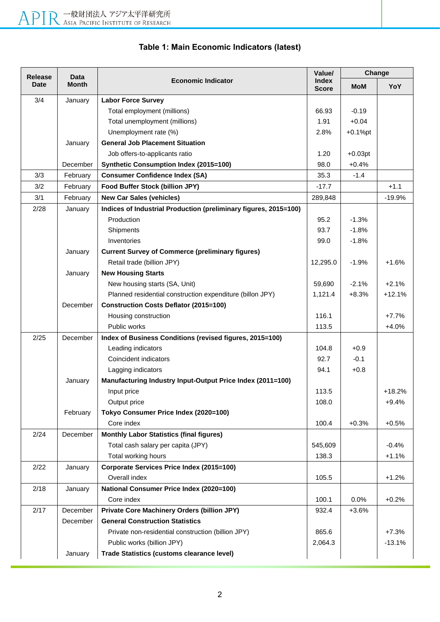| <b>Release</b> | <b>Data</b>  |                                                                  | Value/                       | Change     |          |
|----------------|--------------|------------------------------------------------------------------|------------------------------|------------|----------|
| <b>Date</b>    | <b>Month</b> | <b>Economic Indicator</b>                                        | <b>Index</b><br><b>Score</b> | <b>MoM</b> | YoY      |
| 3/4            | January      | <b>Labor Force Survey</b>                                        |                              |            |          |
|                |              | Total employment (millions)                                      | 66.93                        | $-0.19$    |          |
|                |              | Total unemployment (millions)                                    | 1.91                         | $+0.04$    |          |
|                |              | Unemployment rate (%)                                            | 2.8%                         | $+0.1%$ pt |          |
|                | January      | <b>General Job Placement Situation</b>                           |                              |            |          |
|                |              | Job offers-to-applicants ratio                                   | 1.20                         | $+0.03pt$  |          |
|                | December     | <b>Synthetic Consumption Index (2015=100)</b>                    | 98.0                         | $+0.4%$    |          |
| 3/3            | February     | <b>Consumer Confidence Index (SA)</b>                            | 35.3                         | $-1.4$     |          |
| 3/2            | February     | Food Buffer Stock (billion JPY)                                  | $-17.7$                      |            | $+1.1$   |
| 3/1            | February     | <b>New Car Sales (vehicles)</b>                                  | 289,848                      |            | $-19.9%$ |
| 2/28           | January      | Indices of Industrial Production (preliminary figures, 2015=100) |                              |            |          |
|                |              | Production                                                       | 95.2                         | $-1.3%$    |          |
|                |              | Shipments                                                        | 93.7                         | $-1.8%$    |          |
|                |              | Inventories                                                      | 99.0                         | $-1.8%$    |          |
|                | January      | <b>Current Survey of Commerce (preliminary figures)</b>          |                              |            |          |
|                |              | Retail trade (billion JPY)                                       | 12,295.0                     | $-1.9%$    | $+1.6%$  |
|                | January      | <b>New Housing Starts</b>                                        |                              |            |          |
|                |              | New housing starts (SA, Unit)                                    | 59,690                       | $-2.1%$    | $+2.1%$  |
|                |              | Planned residential construction expenditure (billon JPY)        | 1,121.4                      | $+8.3%$    | $+12.1%$ |
|                | December     | <b>Construction Costs Deflator (2015=100)</b>                    |                              |            |          |
|                |              | Housing construction                                             | 116.1                        |            | $+7.7%$  |
|                |              | Public works                                                     | 113.5                        |            | $+4.0%$  |
| 2/25           | December     | Index of Business Conditions (revised figures, 2015=100)         |                              |            |          |
|                |              | Leading indicators                                               | 104.8                        | $+0.9$     |          |
|                |              | Coincident indicators                                            | 92.7                         | $-0.1$     |          |
|                |              | Lagging indicators                                               | 94.1                         | $+0.8$     |          |
|                | January      | Manufacturing Industry Input-Output Price Index (2011=100)       |                              |            |          |
|                |              | Input price                                                      | 113.5                        |            | $+18.2%$ |
|                |              | Output price                                                     | 108.0                        |            | $+9.4%$  |
|                | February     | Tokyo Consumer Price Index (2020=100)                            |                              |            |          |
|                |              | Core index                                                       | 100.4                        | $+0.3%$    | $+0.5%$  |
| 2/24           | December     | <b>Monthly Labor Statistics (final figures)</b>                  |                              |            |          |
|                |              | Total cash salary per capita (JPY)                               | 545,609                      |            | $-0.4%$  |
|                |              | Total working hours                                              | 138.3                        |            | $+1.1%$  |
| 2/22           | January      | Corporate Services Price Index (2015=100)                        |                              |            |          |
|                |              | Overall index                                                    | 105.5                        |            | $+1.2%$  |
| 2/18           | January      | National Consumer Price Index (2020=100)                         |                              |            |          |
|                |              | Core index                                                       | 100.1                        | 0.0%       | $+0.2%$  |
| 2/17           | December     | <b>Private Core Machinery Orders (billion JPY)</b>               | 932.4                        | $+3.6%$    |          |
|                | December     | <b>General Construction Statistics</b>                           |                              |            |          |
|                |              | Private non-residential construction (billion JPY)               | 865.6                        |            | $+7.3%$  |
|                |              | Public works (billion JPY)                                       | 2,064.3                      |            | $-13.1%$ |
|                | January      | Trade Statistics (customs clearance level)                       |                              |            |          |

# **Table 1: Main Economic Indicators (latest)**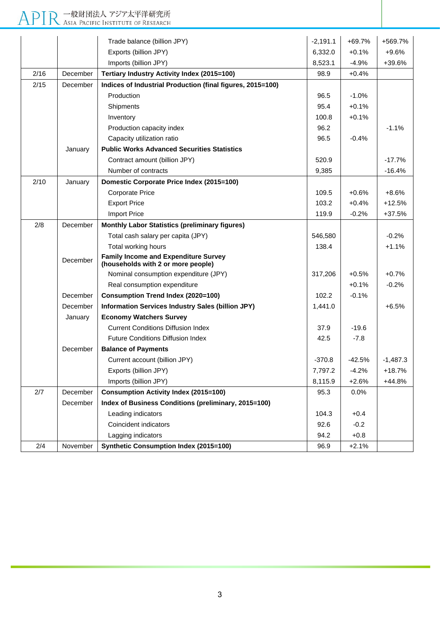|      |          | Trade balance (billion JPY)                                                       | $-2,191.1$ | +69.7%   | +569.7%  |
|------|----------|-----------------------------------------------------------------------------------|------------|----------|----------|
|      |          | Exports (billion JPY)                                                             | 6,332.0    | $+0.1%$  | $+9.6%$  |
|      |          | Imports (billion JPY)                                                             | 8,523.1    | $-4.9%$  | +39.6%   |
| 2/16 | December | Tertiary Industry Activity Index (2015=100)                                       | 98.9       | $+0.4%$  |          |
| 2/15 | December | Indices of Industrial Production (final figures, 2015=100)                        |            |          |          |
|      |          | Production                                                                        | 96.5       | $-1.0%$  |          |
|      |          | Shipments                                                                         | 95.4       | $+0.1%$  |          |
|      |          | Inventory                                                                         | 100.8      | +0.1%    |          |
|      |          | Production capacity index                                                         | 96.2       |          | $-1.1%$  |
|      |          | Capacity utilization ratio                                                        | 96.5       | $-0.4%$  |          |
|      | January  | <b>Public Works Advanced Securities Statistics</b>                                |            |          |          |
|      |          | Contract amount (billion JPY)                                                     | 520.9      |          | $-17.7%$ |
|      |          | Number of contracts                                                               | 9,385      |          | $-16.4%$ |
| 2/10 | January  | Domestic Corporate Price Index (2015=100)                                         |            |          |          |
|      |          | <b>Corporate Price</b>                                                            | 109.5      | +0.6%    | $+8.6%$  |
|      |          | <b>Export Price</b>                                                               | 103.2      | $+0.4%$  | $+12.5%$ |
|      |          | <b>Import Price</b>                                                               | 119.9      | $-0.2%$  | +37.5%   |
| 2/8  | December | <b>Monthly Labor Statistics (preliminary figures)</b>                             |            |          |          |
|      |          | Total cash salary per capita (JPY)                                                | 546,580    |          | $-0.2%$  |
|      |          | Total working hours                                                               | 138.4      |          | $+1.1%$  |
|      | December | <b>Family Income and Expenditure Survey</b><br>(households with 2 or more people) |            |          |          |
|      |          | Nominal consumption expenditure (JPY)                                             | 317,206    | $+0.5%$  | $+0.7%$  |
|      |          | Real consumption expenditure                                                      |            | $+0.1%$  | $-0.2%$  |
|      | December | Consumption Trend Index (2020=100)                                                | 102.2      | $-0.1%$  |          |
|      | December | Information Services Industry Sales (billion JPY)                                 | 1,441.0    |          | $+6.5%$  |
|      | January  | <b>Economy Watchers Survey</b>                                                    |            |          |          |
|      |          | <b>Current Conditions Diffusion Index</b>                                         | 37.9       | $-19.6$  |          |
|      |          | <b>Future Conditions Diffusion Index</b>                                          | 42.5       | $-7.8$   |          |
|      | December | <b>Balance of Payments</b>                                                        |            |          |          |
|      |          | Current account (billion JPY)                                                     | $-370.8$   | $-42.5%$ | -1,487.3 |
|      |          | Exports (billion JPY)                                                             | 7,797.2    | $-4.2%$  | $+18.7%$ |
|      |          | Imports (billion JPY)                                                             | 8,115.9    | $+2.6%$  | $+44.8%$ |
| 2/7  | December | <b>Consumption Activity Index (2015=100)</b>                                      | 95.3       | 0.0%     |          |
|      | December | Index of Business Conditions (preliminary, 2015=100)                              |            |          |          |
|      |          | Leading indicators                                                                | 104.3      | $+0.4$   |          |
|      |          | Coincident indicators                                                             | 92.6       | $-0.2$   |          |
|      |          | Lagging indicators                                                                | 94.2       | $+0.8$   |          |
| 2/4  | November | <b>Synthetic Consumption Index (2015=100)</b>                                     | 96.9       | $+2.1%$  |          |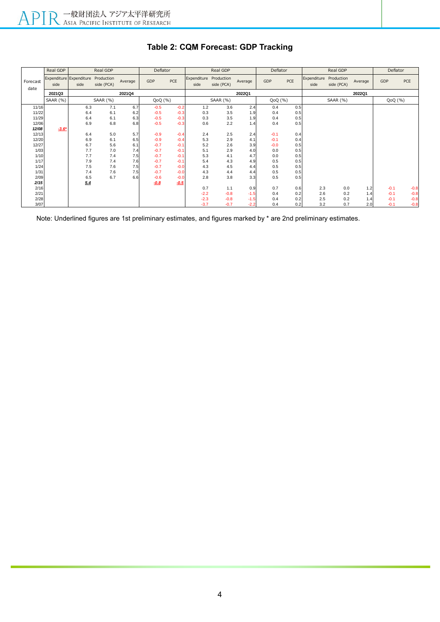|                  | Real GDP        |                                 | Real GDP                 |         | Deflator |        |                                | Real GDP        |         | Deflator |     |                     | Real GDP                 |         | Deflator |        |
|------------------|-----------------|---------------------------------|--------------------------|---------|----------|--------|--------------------------------|-----------------|---------|----------|-----|---------------------|--------------------------|---------|----------|--------|
| Forecast<br>date | side            | Expenditure Expenditure<br>side | Production<br>side (PCA) | Average | GDP      | PCE    | Expenditure Production<br>side | side (PCA)      | Average | GDP      | PCE | Expenditure<br>side | Production<br>side (PCA) | Average | GDP      | PCE    |
|                  | 2021Q3          |                                 |                          | 2021Q4  |          |        |                                |                 | 2022Q1  |          |     |                     |                          | 2022Q1  |          |        |
|                  | <b>SAAR (%)</b> |                                 | SAAR (%)                 |         | QoQ(%)   |        |                                | <b>SAAR (%)</b> |         | QoQ(%)   |     |                     | <b>SAAR (%)</b>          |         | QoQ(%)   |        |
| 11/16            |                 | 6.3                             | 7.1                      | 6.7     | $-0.5$   | $-0.2$ | 1.2                            | 3.6             | 2.4     | 0.4      | 0.5 |                     |                          |         |          |        |
| 11/22            |                 | 6.4                             | 6.1                      | 6.2     | $-0.5$   | $-0.3$ | 0.3                            | 3.5             | 1.9     | 0.4      | 0.5 |                     |                          |         |          |        |
| 11/29            |                 | 6.4                             | 6.1                      | 6.3     | $-0.5$   | $-0.3$ | 0.3                            | 3.5             | 1.9     | 0.4      | 0.5 |                     |                          |         |          |        |
| 12/06            |                 | 6.9                             | 6.8                      | 6.8     | $-0.5$   | $-0.3$ | 0.6                            | 2.2             | 1.4     | 0.4      | 0.5 |                     |                          |         |          |        |
| 12/08            | $-3.6*$         |                                 |                          |         |          |        |                                |                 |         |          |     |                     |                          |         |          |        |
| 12/13            |                 | 6.4                             | 5.0                      | 5.7     | $-0.9$   | $-0.4$ | 2.4                            | 2.5             | 2.4     | $-0.1$   | 0.4 |                     |                          |         |          |        |
| 12/20            |                 | 6.9                             | 6.1                      | 6.5     | $-0.9$   | $-0.4$ | 5.3                            | 2.9             | 4.1     | $-0.1$   | 0.4 |                     |                          |         |          |        |
| 12/27            |                 | 6.7                             | 5.6                      | 6.1     | $-0.7$   | $-0.1$ | 5.2                            | 2.6             | 3.9     | $-0.0$   | 0.5 |                     |                          |         |          |        |
| 1/03             |                 | 7.7                             | 7.0                      | 7.4     | $-0.7$   | $-0.1$ | 5.1                            | 2.9             | 4.0     | 0.0      | 0.5 |                     |                          |         |          |        |
| 1/10             |                 | 7.7                             | 7.4                      | 7.5     | $-0.7$   | $-0.1$ | 5.3                            | 4.1             | 4.7     | 0.0      | 0.5 |                     |                          |         |          |        |
| 1/17             |                 | 7.9                             | 7.4                      | 7.6     | $-0.7$   | $-0.1$ | 5.4                            | 4.3             | 4.9     | 0.5      | 0.5 |                     |                          |         |          |        |
| 1/24             |                 | 7.5                             | 7.6                      | 7.5     | $-0.7$   | $-0.0$ | 4.3                            | 4.5             | 4.4     | 0.5      | 0.5 |                     |                          |         |          |        |
| 1/31             |                 | 7.4                             | 7.6                      | 7.5     | $-0.7$   | $-0.0$ | 4.3                            | 4.4             | 4.4     | 0.5      | 0.5 |                     |                          |         |          |        |
| 2/09             |                 | 6.5                             | 6.7                      | 6.6     | $-0.6$   | $-0.0$ | 2.8                            | 3.8             | 3.3     | 0.5      | 0.5 |                     |                          |         |          |        |
| 2/15             |                 | 5.4                             |                          |         | $-0.8$   | $-0.5$ |                                |                 |         |          |     |                     |                          |         |          |        |
| 2/16             |                 |                                 |                          |         |          |        | 0.7                            | 1.1             | 0.9     | 0.7      | 0.6 | 2.3                 | 0.0                      | 1.2     | $-0.1$   | $-0.8$ |
| 2/21             |                 |                                 |                          |         |          |        | $-2.2$                         | $-0.8$          | $-1.5$  | 0.4      | 0.2 | 2.6                 | 0.2                      | 1.4     | $-0.1$   | $-0.8$ |
| 2/28             |                 |                                 |                          |         |          |        | $-2.3$                         | $-0.8$          | $-1.5$  | 0.4      | 0.2 | 2.5                 | 0.2                      | 1.4     | $-0.1$   | $-0.8$ |
| 3/07             |                 |                                 |                          |         |          |        | $-3.7$                         | $-0.7$          | $-2.2$  | 0.4      | 0.2 | 3.2                 | 0.7                      | 2.0     | $-0.1$   | $-0.8$ |

# **Table 2: CQM Forecast: GDP Tracking**

Note: Underlined figures are 1st preliminary estimates, and figures marked by \* are 2nd preliminary estimates.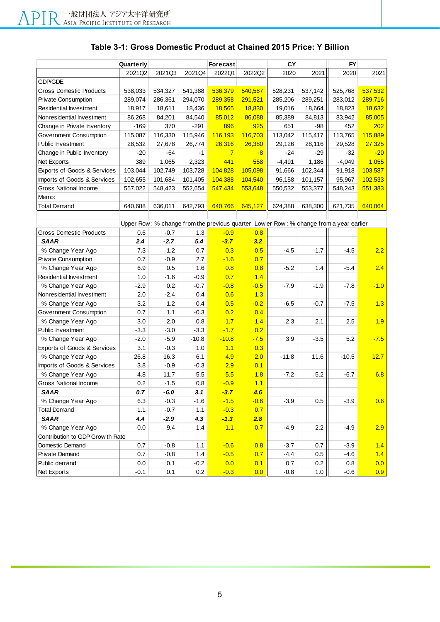## **Table 3-1: Gross Domestic Product at Chained 2015 Price: Y Billion**

| Quarterly                        |         | Forecast |         |                | СY      |          | FY      |                                                                                        |                  |
|----------------------------------|---------|----------|---------|----------------|---------|----------|---------|----------------------------------------------------------------------------------------|------------------|
|                                  | 2021Q2  | 2021Q3   | 2021Q4  | 2022Q1         | 2022Q2  | 2020     | 2021    | 2020                                                                                   | 2021             |
| GDP/GDE                          |         |          |         |                |         |          |         |                                                                                        |                  |
| Gross Domestic Products          | 538,033 | 534,327  | 541,388 | 536,379        | 540,587 | 528,231  | 537,142 | 525,768                                                                                | 537,532          |
| Private Consumption              | 289,074 | 286,361  | 294,070 | 289,358        | 291,521 | 285,206  | 289,251 | 283,012                                                                                | 289,716          |
| Residential Investment           | 18,917  | 18,611   | 18,436  | 18,565         | 18,830  | 19,016   | 18,664  | 18,823                                                                                 | 18,632           |
| Nonresidential Investment        | 86,268  | 84,201   | 84,540  | 85,012         | 86,088  | 85,389   | 84,813  | 83,942                                                                                 | 85,005           |
| Change in Private Inventory      | $-169$  | 370      | -291    | 896            | 925     | 651      | -98     | 452                                                                                    | 202              |
| Government Consumption           | 115,087 | 116,330  | 115,946 | 116,193        | 116,703 | 113,042  | 115,417 | 113,765                                                                                | 115,889          |
| Public Investment                | 28,532  | 27,678   | 26,774  | 26,316         | 26,380  | 29,126   | 28,116  | 29,528                                                                                 | 27,325           |
| Change in Public Inventory       | $-20$   | -64      | -1      | $\overline{7}$ | $-8$    | -24      | -29     | $-32$                                                                                  | $-20$            |
| Net Exports                      | 389     | 1,065    | 2,323   | 441            | 558     | $-4,491$ | 1,186   | $-4,049$                                                                               | 1,055            |
| Exports of Goods & Services      | 103,044 | 102,749  | 103,728 | 104,828        | 105,098 | 91,666   | 102,344 | 91,918                                                                                 | 103,587          |
| Imports of Goods & Services      | 102,655 | 101,684  | 101,405 | 104,388        | 104,540 | 96,158   | 101,157 | 95,967                                                                                 | 102,533          |
| Gross National Income            | 557,022 | 548,423  | 552,654 | 547,434        | 553,648 | 550,532  | 553,377 | 548,243                                                                                | 551,383          |
| Memo:                            |         |          |         |                |         |          |         |                                                                                        |                  |
| <b>Total Demand</b>              | 640,688 | 636,011  | 642,793 | 640.766        | 645,127 | 624,388  | 638,300 | 621,735                                                                                | 640,064          |
|                                  |         |          |         |                |         |          |         |                                                                                        |                  |
|                                  |         |          |         |                |         |          |         | Upper Row: % change from the previous quarter Low er Row: % change from a year earlier |                  |
| <b>Gross Domestic Products</b>   | 0.6     | $-0.7$   | 1.3     | $-0.9$         | 0.8     |          |         |                                                                                        |                  |
| <b>SAAR</b>                      | 2.4     | $-2.7$   | 5.4     | $-3.7$         | 3.2     |          |         |                                                                                        |                  |
| % Change Year Ago                | 7.3     | 1.2      | 0.7     | 0.3            | 0.5     | $-4.5$   | 1.7     | -4.5                                                                                   | 2.2              |
| Private Consumption              | 0.7     | $-0.9$   | 2.7     | $-1.6$         | 0.7     |          |         |                                                                                        |                  |
| % Change Year Ago                | 6.9     | 0.5      | 1.6     | 0.8            | 0.8     | $-5.2$   | 1.4     | $-5.4$                                                                                 | 2.4              |
| Residential Investment           | 1.0     | $-1.6$   | $-0.9$  | 0.7            | 1.4     |          |         |                                                                                        |                  |
| % Change Year Ago                | $-2.9$  | 0.2      | $-0.7$  | $-0.8$         | $-0.5$  | $-7.9$   | $-1.9$  | -7.8                                                                                   | $-1.0$           |
| Nonresidential Investment        | 2.0     | $-2.4$   | 0.4     | 0.6            | 1.3     |          |         |                                                                                        |                  |
| % Change Year Ago                | 3.2     | 1.2      | 0.4     | 0.5            | $-0.2$  | $-6.5$   | $-0.7$  | -7.5                                                                                   | 1.3              |
| Government Consumption           | 0.7     | 1.1      | $-0.3$  | 0.2            | 0.4     |          |         |                                                                                        |                  |
| % Change Year Ago                | 3.0     | 2.0      | 0.8     | 1.7            | 1.4     | 2.3      | 2.1     | 2.5                                                                                    | 1.9              |
| Public Investment                | $-3.3$  | $-3.0$   | $-3.3$  | $-1.7$         | 0.2     |          |         |                                                                                        |                  |
| % Change Year Ago                | $-2.0$  | $-5.9$   | $-10.8$ | $-10.8$        | $-7.5$  | 3.9      | $-3.5$  | 5.2                                                                                    | $-7.5$           |
| Exports of Goods & Services      | 3.1     | $-0.3$   | 1.0     | 1.1            | 0.3     |          |         |                                                                                        |                  |
| % Change Year Ago                | 26.8    | 16.3     | 6.1     | 4.9            | 2.0     | $-11.8$  | 11.6    | $-10.5$                                                                                | 12.7             |
| Imports of Goods & Services      | 3.8     | $-0.9$   | $-0.3$  | 2.9            | 0.1     |          |         |                                                                                        |                  |
| % Change Year Ago                | 4.8     | 11.7     | 5.5     | 5.5            | 1.8     | $-7.2$   | 5.2     | $-6.7$                                                                                 | 6.8              |
| Gross National Income            | 0.2     | $-1.5$   | 0.8     | $-0.9$         | 1.1     |          |         |                                                                                        |                  |
| <b>SAAR</b>                      | $0.7\,$ | $-6.0$   | 3.1     | $-3.7$         | 4.6     |          |         |                                                                                        |                  |
| % Change Year Ago                | 6.3     | $-0.3$   | $-1.6$  | $-1.5$         | $-0.6$  | $-3.9$   | 0.5     | $-3.9$                                                                                 | 0.6              |
| <b>Total Demand</b>              | 1.1     | $-0.7$   | 1.1     | $-0.3$         | 0.7     |          |         |                                                                                        |                  |
| <b>SAAR</b>                      | 4.4     | $-2.9$   | 4.3     | $-1.3$         | 2.8     |          |         |                                                                                        |                  |
| % Change Year Ago                | 0.0     | 9.4      | 1.4     | 1.1            | 0.7     | $-4.9$   | 2.2     | $-4.9$                                                                                 | 2.9              |
| Contribution to GDP Grow th Rate |         |          |         |                |         |          |         |                                                                                        |                  |
| Domestic Demand                  | 0.7     | $-0.8$   | 1.1     | $-0.6$         | 0.8     | $-3.7$   | 0.7     | $-3.9$                                                                                 | 1.4              |
| Private Demand                   | 0.7     | $-0.8$   | 1.4     | $-0.5$         | 0.7     | $-4.4$   | 0.5     | $-4.6$                                                                                 | 1.4              |
| Public demand                    | 0.0     | 0.1      | $-0.2$  | 0.0            | 0.1     | 0.7      | 0.2     | 0.8                                                                                    | 0.0              |
| Net Exports                      | $-0.1$  | 0.1      | 0.2     | $-0.3$         | 0.0     | $-0.8$   | 1.0     | $-0.6$                                                                                 | 0.9 <sub>o</sub> |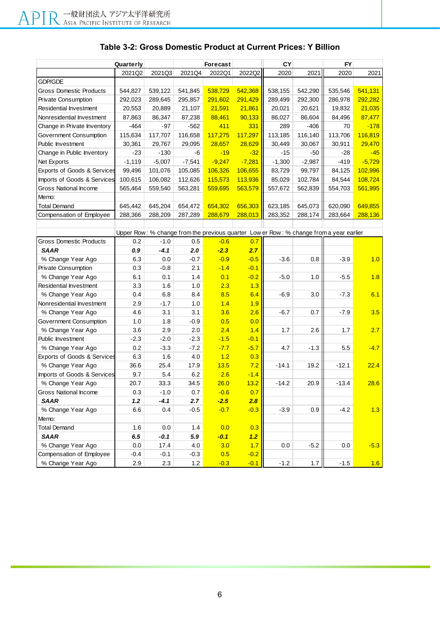|                                                                                        | Quarterly |          |          | Forecast |          | СY       |          | FY      |          |
|----------------------------------------------------------------------------------------|-----------|----------|----------|----------|----------|----------|----------|---------|----------|
|                                                                                        | 2021Q2    | 2021Q3   | 2021Q4   | 2022Q1   | 2022Q2   | 2020     | 2021     | 2020    | 2021     |
| GDP/GDE                                                                                |           |          |          |          |          |          |          |         |          |
| <b>Gross Domestic Products</b>                                                         | 544,827   | 539,122  | 541,845  | 538,729  | 542,368  | 538,155  | 542,290  | 535,546 | 541,131  |
| <b>Private Consumption</b>                                                             | 292,023   | 289,645  | 295,857  | 291,602  | 291,429  | 289,499  | 292,300  | 286,978 | 292,282  |
| Residential Investment                                                                 | 20,553    | 20,889   | 21,107   | 21,591   | 21,861   | 20,021   | 20,621   | 19,832  | 21,035   |
| Nonresidential Investment                                                              | 87,863    | 86,347   | 87,238   | 88,461   | 90,133   | 86,027   | 86,604   | 84,496  | 87,477   |
| Change in Private Inventory                                                            | $-464$    | -97      | $-562$   | 411      | 331      | 289      | $-406$   | 70      | $-178$   |
| Government Consumption                                                                 | 115,634   | 117,707  | 116,658  | 117,275  | 117,297  | 113,185  | 116,140  | 113,706 | 116,819  |
| Public Investment                                                                      | 30,361    | 29,767   | 29,095   | 28,657   | 28,629   | 30,449   | 30,067   | 30,911  | 29,470   |
| Change in Public Inventory                                                             | $-23$     | $-130$   | -6       | $-19$    | $-32$    | $-15$    | -50      | -28     | $-45$    |
| Net Exports                                                                            | $-1,119$  | $-5,007$ | $-7,541$ | $-9.247$ | $-7,281$ | $-1,300$ | $-2,987$ | $-419$  | $-5,729$ |
| <b>Exports of Goods &amp; Services</b>                                                 | 99,496    | 101,076  | 105,085  | 106,326  | 106,655  | 83,729   | 99,797   | 84,125  | 102,996  |
| Imports of Goods & Services                                                            | 100,615   | 106,082  | 112,626  | 115,573  | 113,936  | 85,029   | 102,784  | 84,544  | 108,724  |
| Gross National Income                                                                  | 565,464   | 559,540  | 563,281  | 559,695  | 563,579  | 557,672  | 562,839  | 554,703 | 561,995  |
| Memo:                                                                                  |           |          |          |          |          |          |          |         |          |
| <b>Total Demand</b>                                                                    | 645,442   | 645,204  | 654,472  | 654,302  | 656,303  | 623,185  | 645,073  | 620,090 | 649,855  |
| Compensation of Employee                                                               | 288,366   | 288,209  | 287,289  | 288,679  | 288,013  | 283,352  | 288,174  | 283,664 | 288,136  |
|                                                                                        |           |          |          |          |          |          |          |         |          |
| Upper Row: % change from the previous quarter Low er Row: % change from a year earlier |           |          |          |          |          |          |          |         |          |
| <b>Gross Domestic Products</b>                                                         | 0.2       | $-1.0$   | 0.5      | $-0.6$   | 0.7      |          |          |         |          |
| <b>SAAR</b>                                                                            | 0.9       | $-4.1$   | 2.0      | $-2.3$   | 2.7      |          |          |         |          |
| % Change Year Ago                                                                      | 6.3       | 0.0      | $-0.7$   | $-0.9$   | $-0.5$   | $-3.6$   | 0.8      | $-3.9$  | 1.0      |
| <b>Private Consumption</b>                                                             | 0.3       | $-0.8$   | 2.1      | $-1.4$   | $-0.1$   |          |          |         |          |
| % Change Year Ago                                                                      | 6.1       | 0.1      | 1.4      | 0.1      | $-0.2$   | $-5.0$   | 1.0      | $-5.5$  | 1.8      |
| Residential Investment                                                                 | 3.3       | 1.6      | 1.0      | 2.3      | 1.3      |          |          |         |          |
| % Change Year Ago                                                                      | 0.4       | 6.8      | 8.4      | 8.5      | 6.4      | $-6.9$   | 3.0      | $-7.3$  | 6.1      |
| Nonresidential Investment                                                              | 2.9       | $-1.7$   | 1.0      | 1.4      | 1.9      |          |          |         |          |
| % Change Year Ago                                                                      | 4.6       | 3.1      | 3.1      | 3.6      | 2.6      | $-6.7$   | 0.7      | $-7.9$  | 3.5      |
| Government Consumption                                                                 | 1.0       | 1.8      | $-0.9$   | 0.5      | 0.0      |          |          |         |          |
| % Change Year Ago                                                                      | 3.6       | 2.9      | 2.0      | 2.4      | 1.4      | 1.7      | 2.6      | 1.7     | 2.7      |
| Public Investment                                                                      | $-2.3$    | $-2.0$   | $-2.3$   | $-1.5$   | $-0.1$   |          |          |         |          |
| % Change Year Ago                                                                      | 0.2       | $-3.3$   | $-7.2$   | $-7.7$   | $-5.7$   | 4.7      | $-1.3$   | 5.5     | $-4.7$   |
| <b>Exports of Goods &amp; Services</b>                                                 | 6.3       | 1.6      | 4.0      | 1.2      | 0.3      |          |          |         |          |
| % Change Year Ago                                                                      | 36.6      | 25.4     | 17.9     | 13.5     | 7.2      | $-14.1$  | 19.2     | $-12.1$ | 22.4     |
| Imports of Goods & Services                                                            | 9.7       | 5.4      | 6.2      | 2.6      | $-1.4$   |          |          |         |          |
| % Change Year Ago                                                                      | 20.7      | 33.3     | 34.5     | 26.0     | 13.2     | $-14.2$  | 20.9     | $-13.4$ | 28.6     |
| Gross National Income                                                                  | 0.3       | $-1.0$   | 0.7      | $-0.6$   | 0.7      |          |          |         |          |
| <b>SAAR</b>                                                                            | 1.2       | $-4.1$   | 2.7      | $-2.5$   | 2.8      |          |          |         |          |
| % Change Year Ago                                                                      | 6.6       | 0.4      | $-0.5$   | $-0.7$   | $-0.3$   | $-3.9$   | 0.9      | $-4.2$  | 1.3      |
| Memo:                                                                                  |           |          |          |          |          |          |          |         |          |
| <b>Total Demand</b>                                                                    | 1.6       | 0.0      | 1.4      | 0.0      | 0.3      |          |          |         |          |
| <b>SAAR</b>                                                                            | 6.5       | $-0.1$   | 5.9      | $-0.1$   | 1.2      |          |          |         |          |
| % Change Year Ago                                                                      | 0.0       | 17.4     | 4.0      | 3.0      | 1.7      | 0.0      | $-5.2$   | 0.0     | $-5.3$   |
| Compensation of Employee                                                               | $-0.4$    | $-0.1$   | $-0.3$   | 0.5      | $-0.2$   |          |          |         |          |
| % Change Year Ago                                                                      | 2.9       | 2.3      | 1.2      | $-0.3$   | $-0.1$   | $-1.2$   | 1.7      | $-1.5$  | 1.6      |